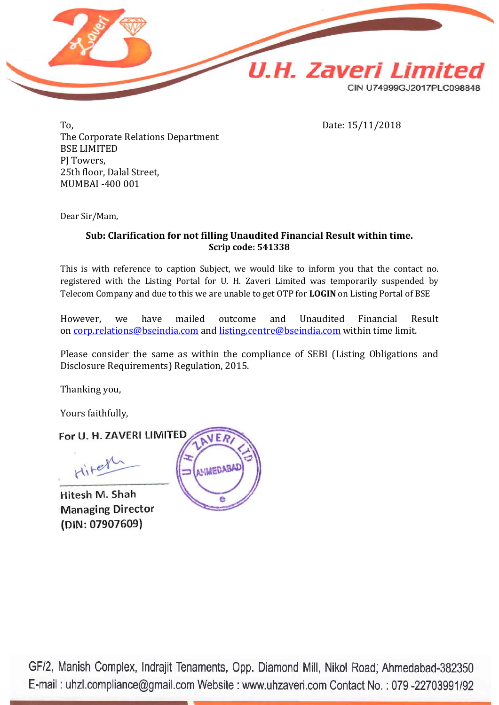

To, Date: 15/11/2018 The Corporate Relations Department BSE LIMITED PJ Towers, 25th floor, Dalal Street, MUMBAI -400 001

Dear Sir/Mam,

### **Sub: Clarification for not filling Unaudited Financial Result within time. Scrip code: 541338**

This is with reference to caption Subject, we would like to inform you that the contact no. registered with the Listing Portal for U. H. Zaveri Limited was temporarily suspended by Telecom Company and due to this we are unable to get OTP for **LOGIN** on Listing Portal of BSE

However, we have mailed outcome and Unaudited Financial Result on <u>corp.relations@bseindia.com</u> and <u>listing.centre@bseindia.com</u> within time limit.

Please consider the same as within the compliance of SEBI (Listing Obligations and Disclosure Requirements) Regulation, 2015.

Thanking you,

Yours faithfully,

For U. H. ZAVERI LIMITED

Hitel

Hitesh M. Shah **Managing Director** (DIN: 07907609)



GF/2, Manish Complex, Indrajit Tenaments, Opp. Diamond Mill, Nikol Road, Ahmedabad-382350 E-mail: uhzl.compliance@gmail.com Website: www.uhzaveri.com Contact No.: 079-22703991/92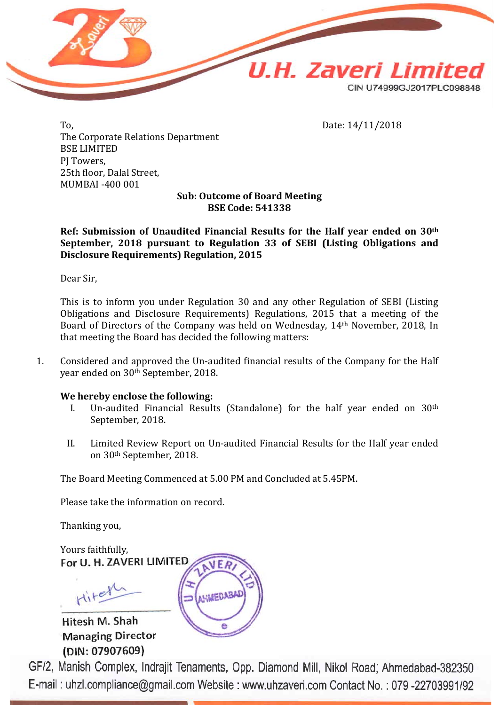

To, Date: 14/11/2018 The Corporate Relations Department BSE LIMITED PJ Towers, 25th floor, Dalal Street, MUMBAI -400 001

**Sub: Outcome of Board Meeting BSE Code: 541338**

**Ref: Submission of Unaudited Financial Results for the Half year ended on 30th September, 2018 pursuant to Regulation 33 of SEBI (Listing Obligations and Disclosure Requirements) Regulation, 2015**

Dear Sir,

This is to inform you under Regulation 30 and any other Regulation of SEBI (Listing Obligations and Disclosure Requirements) Regulations, 2015 that a meeting of the Board of Directors of the Company was held on Wednesday, 14th November, 2018, In that meeting the Board has decided the following matters:

1. Considered and approved the Un-audited financial results of the Company for the Half year ended on 30th September, 2018.

#### **We hereby enclose the following:**

- I. Un-audited Financial Results (Standalone) for the half year ended on 30th September, 2018.
- II. Limited Review Report on Un-audited Financial Results for the Half year ended on 30th September, 2018.

The Board Meeting Commenced at 5.00 PM and Concluded at 5.45PM.

Please take the information on record.

Thanking you,

Yours faithfully,<br>For U. H. ZAVERI LIMITED

Hitel

Hitesh M. Shah **Managing Director** (DIN: 07907609)

GF/2, Manish Complex, Indrajit Tenaments, Opp. Diamond Mill, Nikol Road; Ahmedabad-382350 E-mail: uhzl.compliance@gmail.com Website: www.uhzaveri.com Contact No.: 079-22703991/92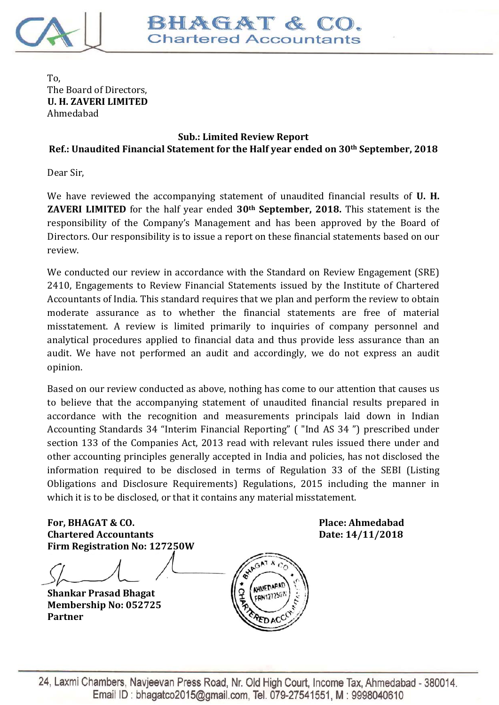

To, The Board of Directors, **U. H. ZAVERI LIMITED** Ahmedabad

## **Sub.: Limited Review Report Ref.: Unaudited Financial Statement for the Half year ended on 30th September, 2018**

Dear Sir,

We have reviewed the accompanying statement of unaudited financial results of **U. H. ZAVERI LIMITED** for the half year ended **30th September, 2018.** This statement is the responsibility of the Company's Management and has been approved by the Board of Directors. Our responsibility is to issue a report on these financial statements based on our review.

We conducted our review in accordance with the Standard on Review Engagement (SRE) 2410, Engagements to Review Financial Statements issued by the Institute of Chartered Accountants of India. This standard requires that we plan and perform the review to obtain moderate assurance as to whether the financial statements are free of material misstatement. A review is limited primarily to inquiries of company personnel and analytical procedures applied to financial data and thus provide less assurance than an audit. We have not performed an audit and accordingly, we do not express an audit opinion.

Based on our review conducted as above, nothing has come to our attention that causes us to believe that the accompanying statement of unaudited financial results prepared in accordance with the recognition and measurements principals laid down in Indian Accounting Standards 34 "Interim Financial Reporting" ( "Ind AS 34 ") prescribed under section 133 of the Companies Act, 2013 read with relevant rules issued there under and other accounting principles generally accepted in India and policies, has not disclosed the information required to be disclosed in terms of Regulation 33 of the SEBI (Listing Obligations and Disclosure Requirements) Regulations, 2015 including the manner in which it is to be disclosed, or that it contains any material misstatement.

**For, BHAGAT & CO. Place: Ahmedabad Chartered Accountants Date: 14/11/2018 Firm Registration No: 127250W**

**Shankar Prasad Bhagat Membership No: 052725 Partner**

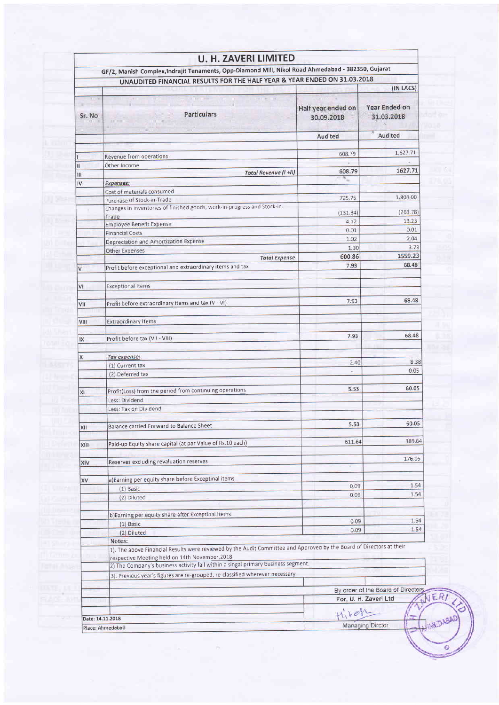|        | GF/2, Manish Complex, Indrajit Tenaments, Opp-Diamond Mill, Nikol Road Ahmedabad - 382350, Gujarat                             |                                  |                                          |  |
|--------|--------------------------------------------------------------------------------------------------------------------------------|----------------------------------|------------------------------------------|--|
|        | UNAUDITED FINANCIAL RESULTS FOR THE HALF YEAR & YEAR ENDED ON 31.03.2018                                                       |                                  |                                          |  |
| Sr. No | Particulars                                                                                                                    | Half year ended on<br>30.09.2018 | (IN LACS)<br>Year Ended on<br>31.03.2018 |  |
|        |                                                                                                                                | Audited                          | Audited                                  |  |
|        |                                                                                                                                |                                  |                                          |  |
|        | Revenue from operations                                                                                                        | 608.79                           | 1,627.71                                 |  |
|        | Other Income                                                                                                                   | 608.79                           | 1627.71                                  |  |
| Ш      | Total Revenue (I +II)                                                                                                          | ٧.                               |                                          |  |
| IV     | <b>Expenses:</b>                                                                                                               |                                  |                                          |  |
|        | Cost of materials consumed                                                                                                     | 725.75                           | 1,804.00                                 |  |
|        | Purchase of Stock-in-Trade<br>Changes in inventories of finished goods, work-in-progress and Stock-in-                         |                                  |                                          |  |
|        | Trade                                                                                                                          | (131.34)                         | (263.78)                                 |  |
|        | <b>Employee Benefit Expense</b>                                                                                                | 4.12                             | 13.23                                    |  |
|        | <b>Financial Costs</b>                                                                                                         | 0.01                             | 0.01                                     |  |
|        | Depreciation and Amortization Expense                                                                                          | 1.02                             | 2.04                                     |  |
|        | Other Expenses                                                                                                                 | 1.30                             | 3.73                                     |  |
|        | <b>Total Expense</b>                                                                                                           | 600.86                           | 1559.23                                  |  |
| V      | Profit before exceptional and extraordinary items and tax                                                                      | 7.93                             | 68.48                                    |  |
| ٧I     | <b>Exceptional Items</b>                                                                                                       |                                  |                                          |  |
| VII    | Profit before extraordinary items and tax (V - VI)                                                                             | 7.93                             | 68.48                                    |  |
| VIII   | <b>Extraordinary Items</b>                                                                                                     |                                  |                                          |  |
|        |                                                                                                                                |                                  | 68.48                                    |  |
| IX     | Profit before tax (VII - VIII)                                                                                                 | 7.93                             |                                          |  |
| X      | Tax expense:                                                                                                                   |                                  |                                          |  |
|        | (1) Current tax                                                                                                                | 2.40                             | 8.38                                     |  |
|        | (2) Deferred tax                                                                                                               | $\sim$                           | 0.05                                     |  |
|        |                                                                                                                                |                                  | 60.05                                    |  |
| XI     | Profit(Loss) from the period from continuing operations                                                                        | 5.53                             |                                          |  |
|        | Less: Dividend                                                                                                                 |                                  |                                          |  |
|        | Less: Tax on Dividend                                                                                                          |                                  |                                          |  |
|        |                                                                                                                                | 5.53                             | 60.05                                    |  |
| XII    | Balance carried Forward to Balance Sheet                                                                                       |                                  |                                          |  |
|        | Paid-up Equity share capital (at par Value of Rs.10 each)                                                                      | 611.64                           | 389.64                                   |  |
| XIII   |                                                                                                                                |                                  |                                          |  |
|        | Reserves excluding revaluation reserves                                                                                        |                                  | 176.05                                   |  |
| XIV    |                                                                                                                                |                                  |                                          |  |
| XV     | a) Earning per equity share before Exceptinal items                                                                            |                                  |                                          |  |
|        | $(1)$ Basic                                                                                                                    | 0.09                             | 1.54                                     |  |
|        | (2) Diluted                                                                                                                    | 0.09                             | 1.54                                     |  |
|        |                                                                                                                                |                                  |                                          |  |
|        | b)Earning per equity share after Exceptinal items                                                                              |                                  |                                          |  |
|        | $(1)$ Basic                                                                                                                    | 0.09                             | 1.54                                     |  |
|        | (2) Diluted                                                                                                                    | 0.09                             | 1.54                                     |  |
|        | Notes:<br>1). The above Financial Results were reviewed by the Audit Committee and Approved by the Board of Directors at their |                                  |                                          |  |
|        | respective Meeting held on 14th November, 2018                                                                                 |                                  |                                          |  |
|        | 2) The Company's business activity fall within a singal primary business segment.                                              |                                  |                                          |  |
|        | 3). Previous year's figures are re-grouped, re-classified wherever necessary.                                                  |                                  |                                          |  |
|        |                                                                                                                                |                                  | By order of the Board of Directors       |  |
|        |                                                                                                                                | For, U. H. Zaveri Ltd            |                                          |  |
|        |                                                                                                                                | Hiren                            |                                          |  |
|        |                                                                                                                                |                                  |                                          |  |

si

 $\ddot{\circ}$